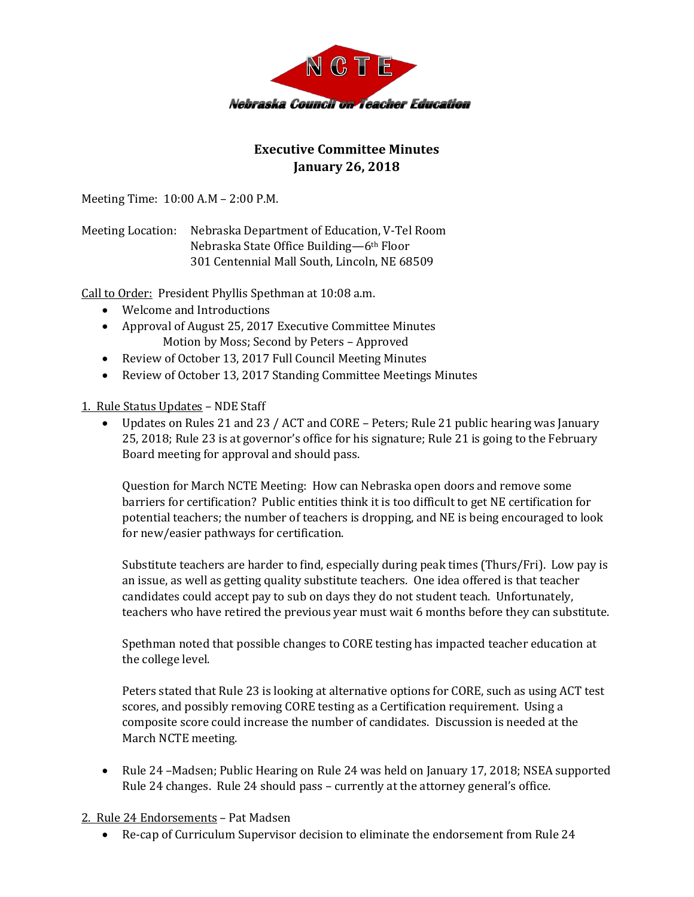

## **Executive Committee Minutes January 26, 2018**

Meeting Time: 10:00 A.M – 2:00 P.M.

Meeting Location: Nebraska Department of Education, V-Tel Room Nebraska State Office Building—6th Floor 301 Centennial Mall South, Lincoln, NE 68509

Call to Order: President Phyllis Spethman at 10:08 a.m.

- Welcome and Introductions
- Approval of August 25, 2017 Executive Committee Minutes Motion by Moss; Second by Peters – Approved
- Review of October 13, 2017 Full Council Meeting Minutes
- Review of October 13, 2017 Standing Committee Meetings Minutes

1. Rule Status Updates – NDE Staff

 Updates on Rules 21 and 23 / ACT and CORE – Peters; Rule 21 public hearing was January 25, 2018; Rule 23 is at governor's office for his signature; Rule 21 is going to the February Board meeting for approval and should pass.

Question for March NCTE Meeting: How can Nebraska open doors and remove some barriers for certification? Public entities think it is too difficult to get NE certification for potential teachers; the number of teachers is dropping, and NE is being encouraged to look for new/easier pathways for certification.

Substitute teachers are harder to find, especially during peak times (Thurs/Fri). Low pay is an issue, as well as getting quality substitute teachers. One idea offered is that teacher candidates could accept pay to sub on days they do not student teach. Unfortunately, teachers who have retired the previous year must wait 6 months before they can substitute.

Spethman noted that possible changes to CORE testing has impacted teacher education at the college level.

Peters stated that Rule 23 is looking at alternative options for CORE, such as using ACT test scores, and possibly removing CORE testing as a Certification requirement. Using a composite score could increase the number of candidates. Discussion is needed at the March NCTE meeting.

• Rule 24 –Madsen; Public Hearing on Rule 24 was held on January 17, 2018; NSEA supported Rule 24 changes. Rule 24 should pass – currently at the attorney general's office.

2. Rule 24 Endorsements – Pat Madsen

Re-cap of Curriculum Supervisor decision to eliminate the endorsement from Rule 24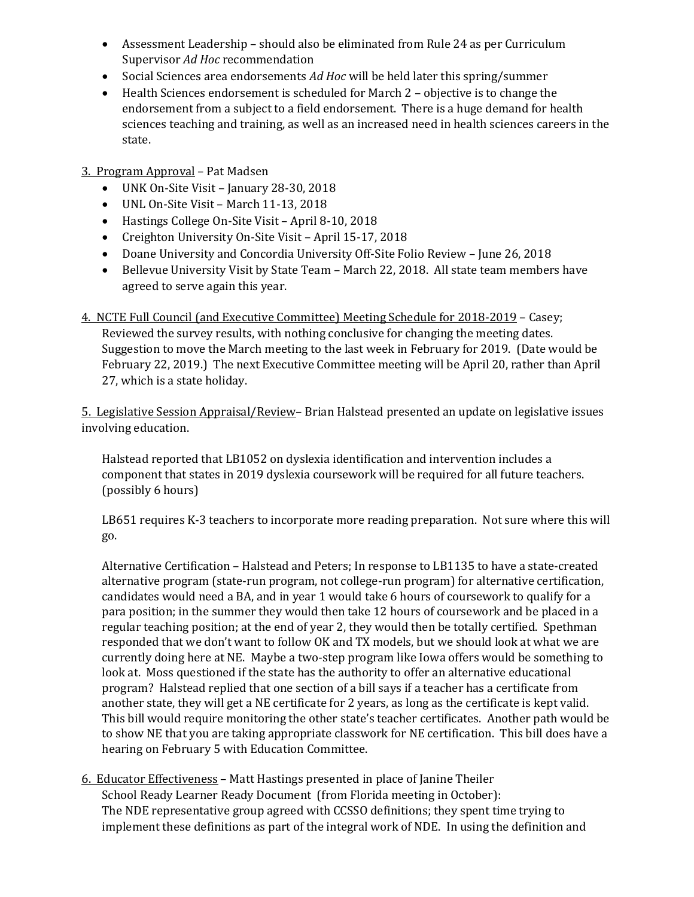- Assessment Leadership should also be eliminated from Rule 24 as per Curriculum Supervisor *Ad Hoc* recommendation
- Social Sciences area endorsements *Ad Hoc* will be held later this spring/summer
- Health Sciences endorsement is scheduled for March 2 objective is to change the endorsement from a subject to a field endorsement. There is a huge demand for health sciences teaching and training, as well as an increased need in health sciences careers in the state.

## 3. Program Approval – Pat Madsen

- UNK On-Site Visit January 28-30, 2018
- UNL On-Site Visit March 11-13, 2018
- Hastings College On-Site Visit April 8-10, 2018
- Creighton University On-Site Visit April 15-17, 2018
- Doane University and Concordia University Off-Site Folio Review June 26, 2018
- Bellevue University Visit by State Team March 22, 2018. All state team members have agreed to serve again this year.

4. NCTE Full Council (and Executive Committee) Meeting Schedule for 2018-2019 – Casey; Reviewed the survey results, with nothing conclusive for changing the meeting dates. Suggestion to move the March meeting to the last week in February for 2019. (Date would be February 22, 2019.) The next Executive Committee meeting will be April 20, rather than April 27, which is a state holiday.

5. Legislative Session Appraisal/Review– Brian Halstead presented an update on legislative issues involving education.

Halstead reported that LB1052 on dyslexia identification and intervention includes a component that states in 2019 dyslexia coursework will be required for all future teachers. (possibly 6 hours)

LB651 requires K-3 teachers to incorporate more reading preparation. Not sure where this will go.

Alternative Certification – Halstead and Peters; In response to LB1135 to have a state-created alternative program (state-run program, not college-run program) for alternative certification, candidates would need a BA, and in year 1 would take 6 hours of coursework to qualify for a para position; in the summer they would then take 12 hours of coursework and be placed in a regular teaching position; at the end of year 2, they would then be totally certified. Spethman responded that we don't want to follow OK and TX models, but we should look at what we are currently doing here at NE. Maybe a two-step program like Iowa offers would be something to look at. Moss questioned if the state has the authority to offer an alternative educational program? Halstead replied that one section of a bill says if a teacher has a certificate from another state, they will get a NE certificate for 2 years, as long as the certificate is kept valid. This bill would require monitoring the other state's teacher certificates. Another path would be to show NE that you are taking appropriate classwork for NE certification. This bill does have a hearing on February 5 with Education Committee.

6. Educator Effectiveness – Matt Hastings presented in place of Janine Theiler School Ready Learner Ready Document (from Florida meeting in October): The NDE representative group agreed with CCSSO definitions; they spent time trying to implement these definitions as part of the integral work of NDE. In using the definition and